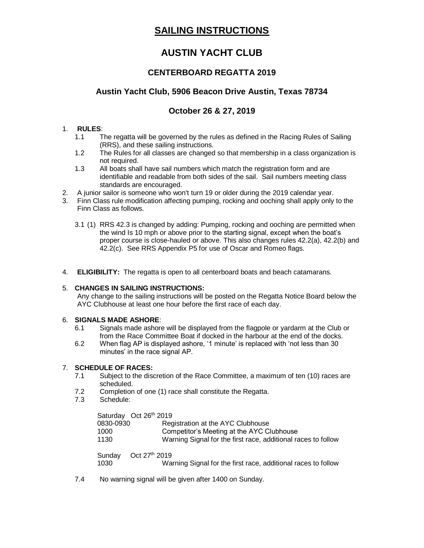# **SAILING INSTRUCTIONS**

# **AUSTIN YACHT CLUB**

## **CENTERBOARD REGATTA 2019**

## **Austin Yacht Club, 5906 Beacon Drive Austin, Texas 78734**

## **October 26 & 27, 2019**

## 1. **RULES**:

- 1.1 The regatta will be governed by the rules as defined in the Racing Rules of Sailing (RRS), and these sailing instructions.
- 1.2 The Rules for all classes are changed so that membership in a class organization is not required.
- 1.3 All boats shall have sail numbers which match the registration form and are identifiable and readable from both sides of the sail. Sail numbers meeting class standards are encouraged.
- 2. A junior sailor is someone who won't turn 19 or older during the 2019 calendar year.
- 3. Finn Class rule modification affecting pumping, rocking and ooching shall apply only to the Finn Class as follows.
	- 3.1 (1) RRS 42.3 is changed by adding: Pumping, rocking and ooching are permitted when the wind Is 10 mph or above prior to the starting signal, except when the boat's proper course is close-hauled or above. This also changes rules 42.2(a), 42.2(b) and 42.2(c). See RRS Appendix P5 for use of Oscar and Romeo flags.
- 4. **ELIGIBILITY:** The regatta is open to all centerboard boats and beach catamarans.

## 5. **CHANGES IN SAILING INSTRUCTIONS:**

Any change to the sailing instructions will be posted on the Regatta Notice Board below the AYC Clubhouse at least one hour before the first race of each day.

## 6. **SIGNALS MADE ASHORE**:

- 6.1 Signals made ashore will be displayed from the flagpole or yardarm at the Club or from the Race Committee Boat if docked in the harbour at the end of the docks.
- 6.2 When flag AP is displayed ashore, '1 minute' is replaced with 'not less than 30 minutes' in the race signal AP.

## 7. **SCHEDULE OF RACES:**

- 7.1 Subject to the discretion of the Race Committee, a maximum of ten (10) races are scheduled.
- 7.2 Completion of one (1) race shall constitute the Regatta.
- 7.3 Schedule:

| Saturday Oct 26th 2019 |                                                               |
|------------------------|---------------------------------------------------------------|
| 0830-0930              | Registration at the AYC Clubhouse                             |
| 1000                   | Competitor's Meeting at the AYC Clubhouse                     |
| 1130                   | Warning Signal for the first race, additional races to follow |
|                        |                                                               |
| Sundav                 | Oct 27 <sup>th</sup> 2019                                     |

1030 Warning Signal for the first race, additional races to follow

7.4 No warning signal will be given after 1400 on Sunday.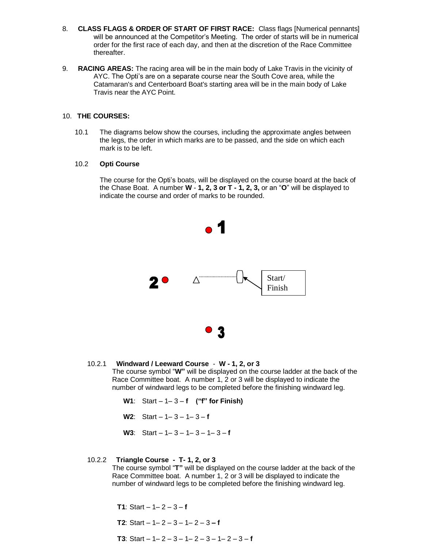- 8. **CLASS FLAGS & ORDER OF START OF FIRST RACE:** Class flags [Numerical pennants] will be announced at the Competitor's Meeting. The order of starts will be in numerical order for the first race of each day, and then at the discretion of the Race Committee thereafter.
- 9. **RACING AREAS:** The racing area will be in the main body of Lake Travis in the vicinity of AYC. The Opti's are on a separate course near the South Cove area, while the Catamaran's and Centerboard Boat's starting area will be in the main body of Lake Travis near the AYC Point.

#### 10. **THE COURSES:**

10.1 The diagrams below show the courses, including the approximate angles between the legs, the order in which marks are to be passed, and the side on which each mark is to be left.

#### 10.2 **Opti Course**

The course for the Opti's boats, will be displayed on the course board at the back of the Chase Boat. A number **W** - **1, 2, 3 or T - 1, 2, 3,** or an "**O**" will be displayed to indicate the course and order of marks to be rounded.



#### 10.2.1 **Windward / Leeward Course** - **W - 1, 2, or 3**

The course symbol "**W"** will be displayed on the course ladder at the back of the Race Committee boat. A number 1, 2 or 3 will be displayed to indicate the number of windward legs to be completed before the finishing windward leg.

- **W1**: Start 1– 3 **f ("f" for Finish)**
- **W2**: Start 1– 3 1– 3 **f**
- **W3**: Start 1– 3 1– 3 1– 3 **f**

## 10.2.2 **Triangle Course - T- 1, 2, or 3**

The course symbol "**T"** will be displayed on the course ladder at the back of the Race Committee boat. A number 1, 2 or 3 will be displayed to indicate the number of windward legs to be completed before the finishing windward leg.

**T1**: Start –  $1 - 2 - 3 - f$ 

- **T2**: Start 1– 2 3 1– 2 3 **– f**
- **T3**: Start 1– 2 3 1– 2 3 1– 2 3 **f**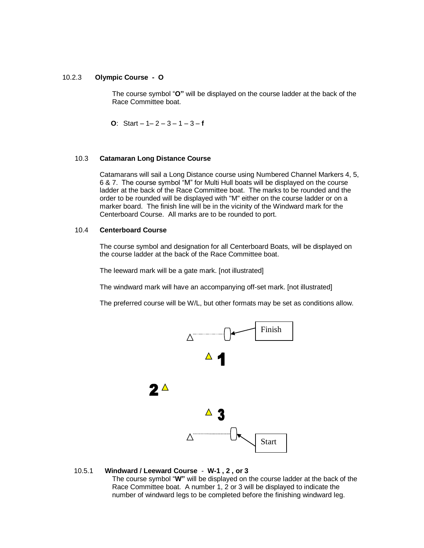#### 10.2.3 **Olympic Course - O**

The course symbol "**O"** will be displayed on the course ladder at the back of the Race Committee boat.

**O**: Start  $-1-2-3-1-3-1$ 

#### 10.3 **Catamaran Long Distance Course**

Catamarans will sail a Long Distance course using Numbered Channel Markers 4, 5, 6 & 7. The course symbol "M" for Multi Hull boats will be displayed on the course ladder at the back of the Race Committee boat. The marks to be rounded and the order to be rounded will be displayed with "M" either on the course ladder or on a marker board. The finish line will be in the vicinity of the Windward mark for the Centerboard Course. All marks are to be rounded to port.

#### 10.4 **Centerboard Course**

The course symbol and designation for all Centerboard Boats, will be displayed on the course ladder at the back of the Race Committee boat.

The leeward mark will be a gate mark. [not illustrated]

The windward mark will have an accompanying off-set mark. [not illustrated]

The preferred course will be W/L, but other formats may be set as conditions allow.



## 10.5.1 **Windward / Leeward Course** - **W-1 , 2 , or 3**

The course symbol "**W"** will be displayed on the course ladder at the back of the Race Committee boat. A number 1, 2 or 3 will be displayed to indicate the number of windward legs to be completed before the finishing windward leg.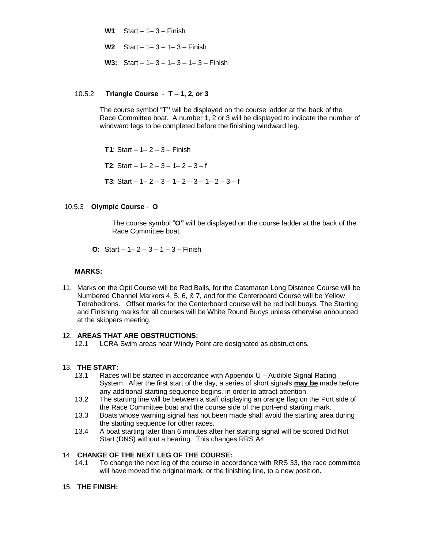**W1**: Start – 1– 3 – Finish

- **W2**: Start 1– 3 1– 3 Finish
- **W3:** Start 1– 3 1– 3 1– 3 Finish

## 10.5.2 **Triangle Course** - **T** – **1, 2, or 3**

The course symbol "**T"** will be displayed on the course ladder at the back of the Race Committee boat. A number 1, 2 or 3 will be displayed to indicate the number of windward legs to be completed before the finishing windward leg.

**T1**: Start – 1– 2 – 3 – Finish

**T2**: Start  $-1-2-3-1-2-3-1$ 

**T3**: Start  $-1$   $-2$   $-3$   $-1$   $-2$   $-3$   $-1$   $-2$   $-3$   $-1$ 

### 10.5.3 **Olympic Course** - **O**

The course symbol "**O"** will be displayed on the course ladder at the back of the Race Committee boat.

**O**: Start  $-1-2-3-1-3$  – Finish

## **MARKS:**

11. Marks on the Opti Course will be Red Balls, for the Catamaran Long Distance Course will be Numbered Channel Markers 4, 5, 6, & 7, and for the Centerboard Course will be Yellow Tetrahedrons. Offset marks for the Centerboard course will be red ball buoys. The Starting and Finishing marks for all courses will be White Round Buoys unless otherwise announced at the skippers meeting.

### 12. **AREAS THAT ARE OBSTRUCTIONS:**

12.1 LCRA Swim areas near Windy Point are designated as obstructions.

#### 13. **THE START:**

- 13.1 Races will be started in accordance with Appendix U Audible Signal Racing System. After the first start of the day, a series of short signals **may be** made before any additional starting sequence begins, in order to attract attention.
- 13.2 The starting line will be between a staff displaying an orange flag on the Port side of the Race Committee boat and the course side of the port-end starting mark.
- 13.3 Boats whose warning signal has not been made shall avoid the starting area during the starting sequence for other races.
- 13.4 A boat starting later than 6 minutes after her starting signal will be scored Did Not Start (DNS) without a hearing. This changes RRS A4.

#### 14. **CHANGE OF THE NEXT LEG OF THE COURSE:**

- 14.1 To change the next leg of the course in accordance with RRS 33, the race committee will have moved the original mark, or the finishing line, to a new position.
- 15. **THE FINISH:**